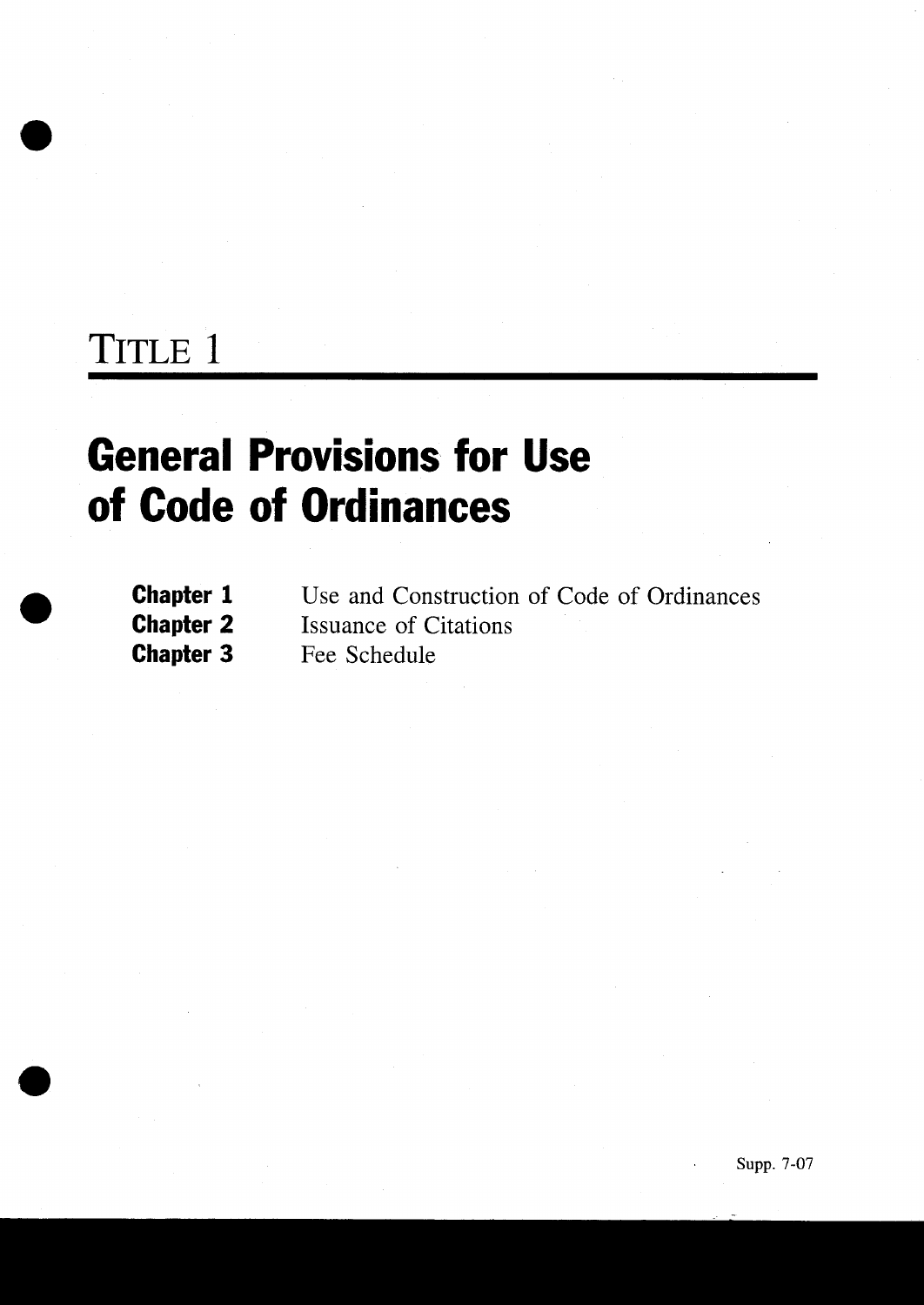## TITLE 1

# General Provisions for Use of Code of Ordinances

| <b>Chapter 1</b> | Use and Construction of Code of Ordinances |
|------------------|--------------------------------------------|
| <b>Chapter 2</b> | <b>Issuance of Citations</b>               |
| <b>Chapter 3</b> | Fee Schedule                               |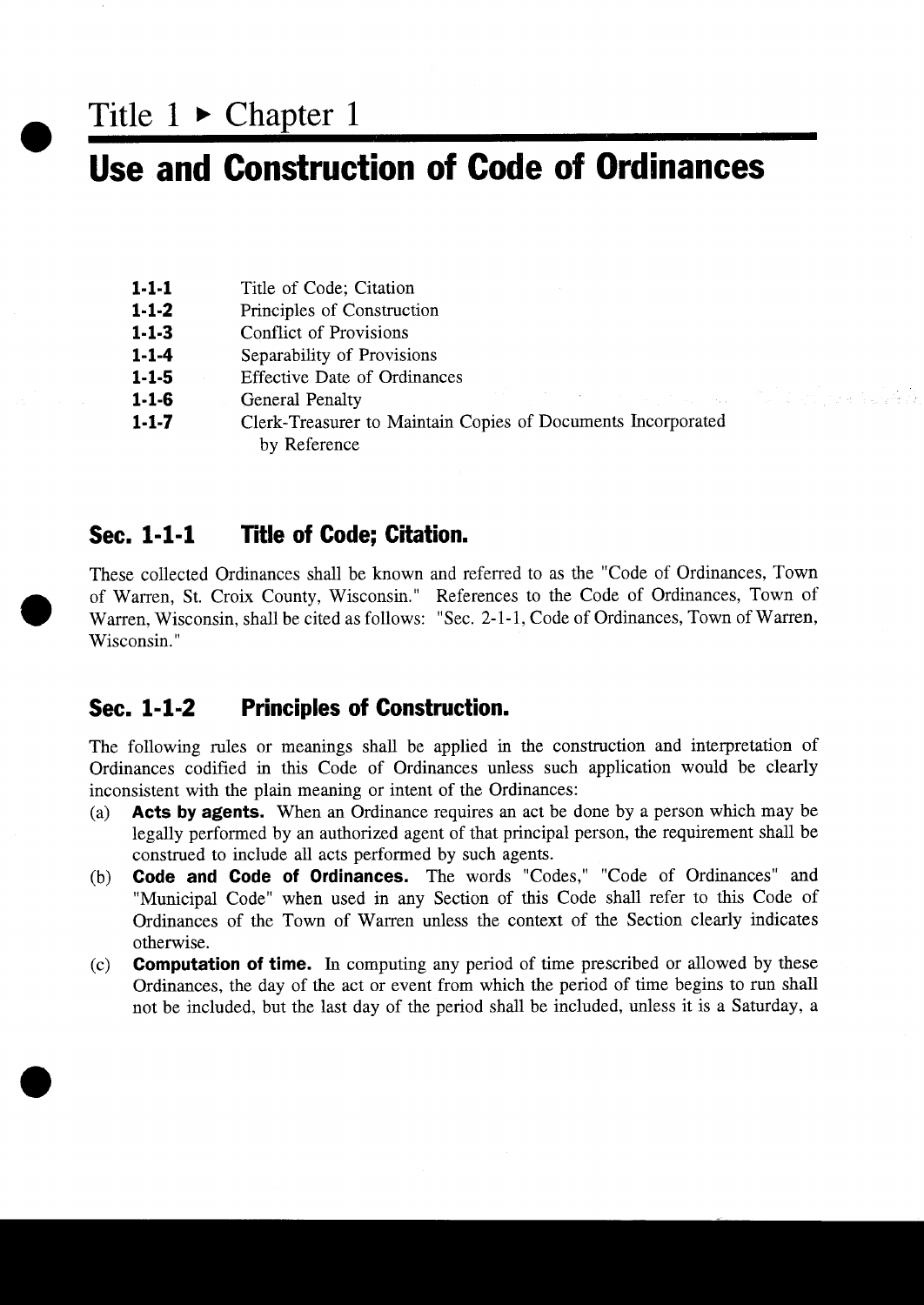Title  $1 \triangleright$  Chapter 1

## Use and Construction of Code of Ordinances

- **1-1-1** Title of Code; Citation 1-1-1 Title of Code; Citation<br>1-1-2 Principles of Construct<br>1-1-3 Conflict of Provisions
- $1-1-2$ <br> $1-1-3$ Principles of Construction
- 
- 1-1-2 Principles of Construction<br>1-1-3 Conflict of Provisions<br>1-1-4 Separability of Provisions 1-1-3 Conflict of Provisions<br>1-1-4 Separability of Provisions<br>1-1-5 Effective Date of Ordinances
- 
- 1-1-4 Separability of<br>1-1-5 Effective Date of<br>1-1-6 General Penalty
- 1-1-5 Effective Date of Ordinances<br>1-1-6 General Penalty<br>1-1-7 Clerk-Treasurer to Maintain Copies of Documents Incorporated by Reference

#### Sec. 1-1-1 Title of Code; Citation.

These collected Ordinances shall be known and referred to as the "Code of Ordinances, Town of Warren, St. Croix County, Wisconsin." References to the Code of Ordinances, Town of These collected Ordinances shall be known and referred to as the "Code of Ordinances, Town of Warren, St. Croix County, Wisconsin." References to the Code of Ordinances, Town of Warren, Wisconsin, shall be cited as follows Wisconsin."

#### Sec. 1-1-2 Principles of Construction.

The following rules or meanings shall be applied in the construction and interpretation of Ordinances codified in this Code of Ordinances unless such application would be clearly inconsistent with the plain meaning or intent of the Ordinances

- $(a)$ Acts by agents. When an Ordinance requires an act be done by a person which may be legally performed by an authorized agent of that principal person, the requirement shall be construed to include all acts performed by such agents
- (b) **Code and Code of Ordinances.** The words "Codes," "Code of Ordinances" and "Municipal Code" when used in any Section of this Code shall refer to this Code of Ordinances of the Town of Warren unless the context of the Section clearly indicates otherwise
- $(c)$  **Computation of time.** In computing any period of time prescribed or allowed by these Ordinances, the day of the act or event from which the period of time begins to run shall not be included, but the last day of the period shall be included, unless it is a Saturday, a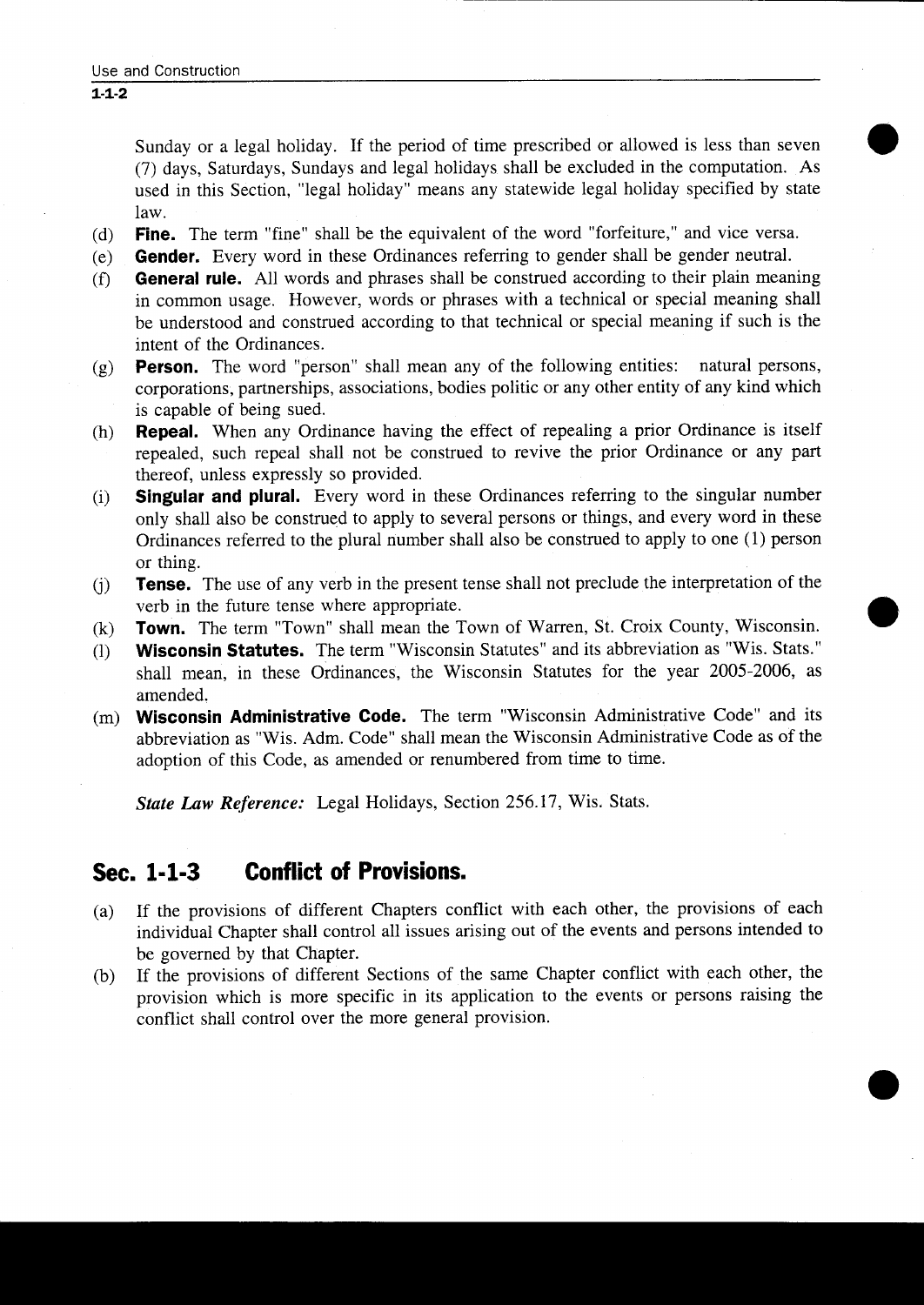Sunday or a legal holiday. If the period of time prescribed or allowed is less than seven (7) days, Saturdays, Sundays and legal holidays shall be excluded in the computation. As used in this Section, "legal holiday" means any statewide legal holiday specified by state law

- (d) **Fine.** The term "fine" shall be the equivalent of the word "forfeiture," and vice versa.<br>(e) **Gender.** Every word in these Ordinances referring to gender shall be gender neutral.
- (e) **Gender.** Every word in these Ordinances referring to gender shall be gender neutral.<br>(f) **General rule.** All words and phrases shall be construed according to their plain mean
- General rule. All words and phrases shall be construed according to their plain meaning in common usage. However, words or phrases with a technical or special meaning shall be understood and construed according to that technical or special meaning if such is the intent of the Ordinances
- (g) **Person.** The word "person" shall mean any of the following entities: natural persons, corporations, partnerships, associations, bodies politic or any other entity of any kind which is capable of being sued
- (h) **Repeal.** When any Ordinance having the effect of repealing a prior Ordinance is itself repealed, such repeal shall not be construed to revive the prior Ordinance or any part thereof, unless expressly so provided.
- (i) Singular and plural. Every word in these Ordinances referring to the singular number only shall also be construed to apply to several persons or things, and every word in these Ordinances referred to the plural number shall also be construed to apply to one  $(1)$  person or thing
- $(i)$ Tense. The use of any verb in the present tense shall not preclude the interpretation of the verb in the future tense where appropriate
- (k) **Town.** The term "Town" shall mean the Town of Warren, St. Croix County, Wisconsin.<br>(1) **Wisconsin Statutes.** The term "Wisconsin Statutes" and its abbreviation as "Wis. Stats."
- Wisconsin Statutes. The term "Wisconsin Statutes" and its abbreviation as "Wis. Stats." shall mean, in these Ordinances, the Wisconsin Statutes for the year 2005-2006, as amended
- $(m)$  Wisconsin Administrative Code. The term "Wisconsin Administrative Code" and its abbreviation as "Wis. Adm. Code" shall mean the Wisconsin Administrative Code as of the adoption of this Code, as amended or renumbered from time to time.

State Law Reference: Legal Holidays, Section 256.17, Wis. Stats.

### Sec. 1-1-3 Conflict of Provisions.

- (a) If the provisions of different Chapters conflict with each other, the provisions of each individual Chapter shall control all issues arising out of the events and persons intended to be governed by that Chapter
- (b) If the provisions of different Sections of the same Chapter conflict with each other, the provision which is more specific in its application to the events or persons raising the conflict shall control over the more general provision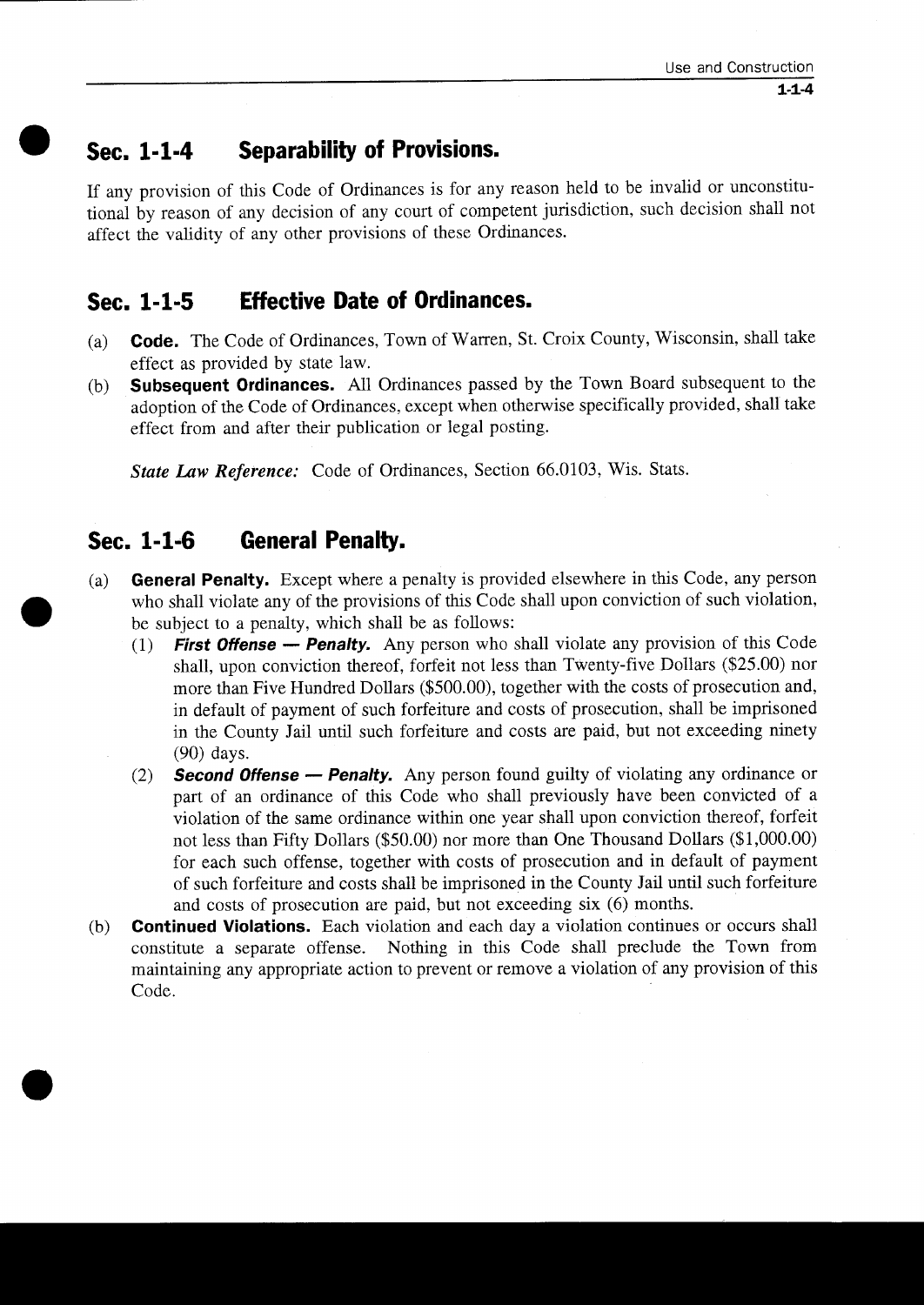### Sec. 1-1-4 Separability of Provisions.

If any provision of this Code of Ordinances is for any reason held to be invalid or unconstitu tional by reason of any decision of any court of competent jurisdiction such decision shall not affect the validity of any other provisions of these Ordinances

#### Sec. 1-1-5 Effective Date of Ordinances.

- (a) **Code.** The Code of Ordinances, Town of Warren, St. Croix County, Wisconsin, shall take effect as provided by state law
- (b) **Subsequent Ordinances.** All Ordinances passed by the Town Board subsequent to the adoption of the Code of Ordinances, except when otherwise specifically provided, shall take effect from and after their publication or legal posting

State Law Reference: Code of Ordinances, Section 66.0103, Wis. Stats.

### Sec. 1-1-6 General Penalty.

- (a) General Penalty. Except where a penalty is provided elsewhere in this Code, any person who shall violate any of the provisions of this Code shall upon conviction of such violation, be subject to a penalty, which shall be as follows:
	- $(1)$ **First Offense — Penalty.** Any person who shall violate any provision of this Code shall, upon conviction thereof, forfeit not less than Twenty-five Dollars (\$25.00) nor mean than Five Unudred Dollars (\$500.00) together w shall, upon conviction thereof, forfeit not less than Twenty-five Dollars (\$25.00) nor more than Five Hundred Dollars (\$500.00), together with the costs of prosecution and, in default of payment of such forfeiture and costs of prosecution, shall be imprisoned in the County Jail until such forfeiture and costs are paid, but not exceeding ninety  $(90)$  days.
	- (2) **Second Offense Penalty.** Any person found guilty of violating any ordinance or part of an ordinance of this Code who shall previously have been convicted of <sup>a</sup> violation of the same ordinance within one year shall upon conviction thereof, forfeit In the County Jan than Such forfeiture and costs are part, out not executing innery<br>(90) days.<br>**Second Offense — Penalty.** Any person found guilty of violating any ordinance or<br>part of an ordinance of this Code who shall for each such offense, together with costs of prosecution and in default of payment of such forfeiture and costs shall be imprisoned in the County Jail until such forfeiture or such fortentie and costs shart be imprisoned in the County Jan until and costs of prosecution are paid, but not exceeding six (6) months.
- $(b)$ **Continued Violations.** Each violation and each day a violation continues or occurs shall constitute a separate offense. Nothing in this Code shall preclude the Town from maintaining any appropriate action to prevent or remove <sup>a</sup> violation of any provision of this Code.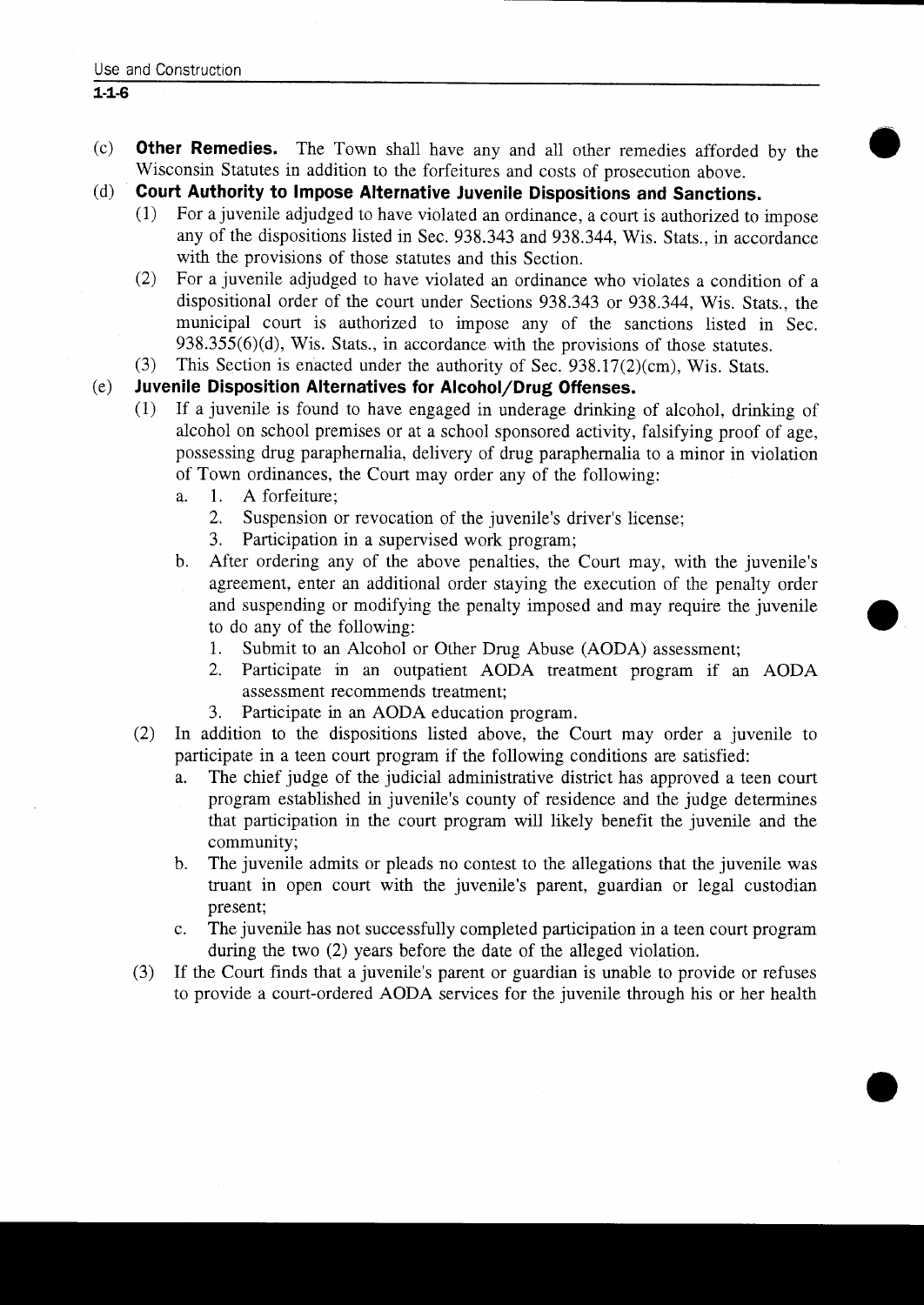- (c) **Other Remedies.** The Town shall have any and all other remedies afforded by the Wisconsin Statutes in addition to the forfeitures and costs of prosecution above
- (d) Court Authority to Impose Alternative Juvenile Dispositions and Sanctions.
	- $(1)$ For a juvenile adjudged to have violated an ordinance, a court is authorized to impose any of the dispositions listed in Sec. 938.343 and 938.344, Wis. Stats., in accordance with the provisions of those statutes and this Section
	- 2 For <sup>a</sup> juvenile adjudged to have violated an ordinance who violates <sup>a</sup> condition of <sup>a</sup> dispositional order of the court under Sections 938.343 or 938.344, Wis. Stats., the municipal court is authorized to impose any of the sanctions listed in Sec.  $938.355(6)(d)$ , Wis. Stats., in accordance with the provisions of those statutes. **EXECUTE: EXECUTE: EXECUTE: EXECUTE: EXECUTE:** For a juvenile adjudged to have violated an ordinance, a court is authorized to i any of the dispositions listed in Sec. 938.343 and 938.344, Wis. Stats., in accordin 3 This Section is enduced under the authorized university of the dispositions is the authorized in Sec. 938.343 and 938.344, Wis. Stats., in accomption is extended university of the section.<br>
	3 The authorized to have viol
- (3) This Section is enacted under the authority of Sec. 938.17(2)(cm), Wis. Stats.<br>(e) **Juvenile Disposition Alternatives for Alcohol/Drug Offenses.**<br>(1) If a juvenile is found to have engaged in underage drinking of alco

- If a juvenile is found to have engaged in underage drinking of alcohol, drinking of alcohol on school premises or at a school sponsored activity, falsifying proof of age<br>alcohol on school premises or at a school sponsored activity, falsifying proof of age<br>possessing drug paraphermalia, delivery of drug pa possessing drug paraphernalia delivery of drug paraphernalia to <sup>a</sup> minor in violation of Town ordinances, the Court may order any of the following:<br>a. 1. A forfeiture:
	- 1. A forfeiture;<br>2. Suspension of
		- Suspension or revocation of the juvenile's driver's license;
		- 3. Participation in a supervised work program;
	- b. After ordering any of the above penalties, the Court may, with the juvenile's agreement, enter an additional order staying the execution of the penalty order and suspending or modifying the penalty imposed and may require the juvenile to do any of the following:<br>1. Submit to an Alcohol of
		- 1. Submit to an Alcohol or Other Drug Abuse (AODA) assessment;<br>2. Participate in an outpatient AODA treatment program if an
		- 2 Participate in an outpatient AODA treatment program if an AODA assessment recommends treatment
		- 3. Participate in an AODA education program.
- 2) In addition to the dispositions listed above, the Court may order a juvenile to participate in a teen court program if the following conditions are satisfied:<br>a. The chief judge of the judicial administrative district has approved a te
- The chief judge of the judicial administrative district has approved a teen court 3. Participate in an AODA education program.<br>
Indiction to the dispositions listed above, the Court may order a juvenile to<br>
icipate in a teen court program if the following conditions are satisfied:<br>
The chief judge of th that participation in the court program will likely benefit the juvenile and the community program established in juvenile's county of residence and the judge determines
	- b. The juvenile admits or pleads no contest to the allegations that the juvenile was truant in open court with the juvenile's parent, guardian or legal custodian present
	- c. The juvenile has not successfully completed participation in a teen court program during the two  $(2)$  years before the date of the alleged violation.

i

(3) If the Court finds that a juvenile's parent or guardian is unable to provide or refuses to provide a court-ordered AODA services for the juvenile through his or her health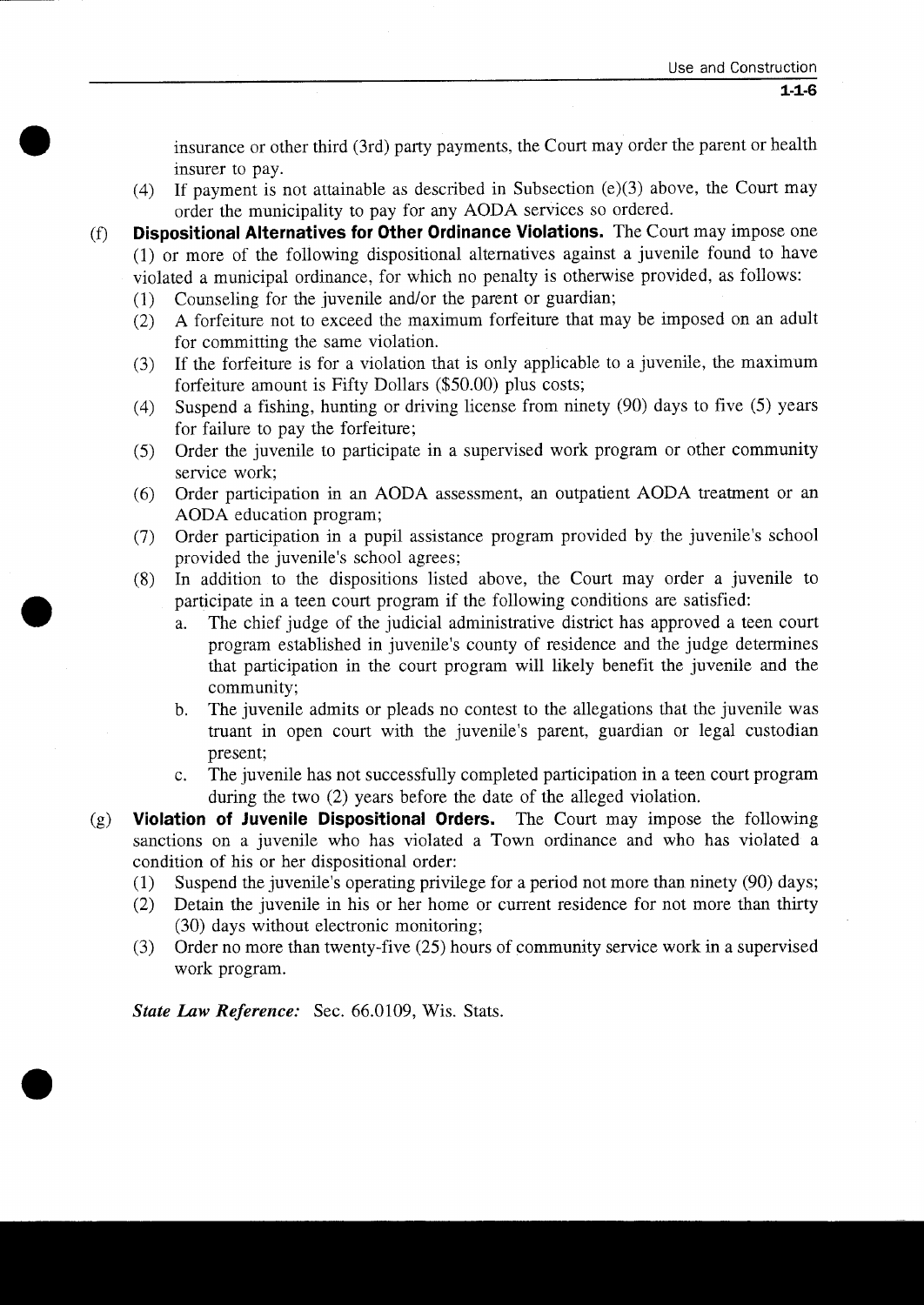insurance or other third (3rd) party payments, the Court may order the parent or health insurer to pay

- $(4)$ If payment is not attainable as described in Subsection (e)(3) above, the Court may order the municipality to pay for any AODA services so ordered
- $(f)$  Dispositional Alternatives for Other Ordinance Violations. The Court may impose one **Dispositional Alternatives for Other Ordinance Violations.** The coalt may impose one<br>(1) or more of the following dispositional alternatives against a juvenile found to have violated a municipal ordinance, for which no penalty is otherwise provided, as follows:<br>
(1) Counseling for the juvenile and/or the parent or guardian;
	-
	- $\frac{(1)}{(2)}$ A forfeiture not to exceed the maximum forfeiture that may be imposed on an adult for committing the same violation
	- (3) If the forfeiture is for a violation that is only applicable to a juvenile, the maximum forfeiture amount is Fifty Dollars  $(\$50.00)$  plus costs;
	- 4 (4) Suspend a fishing, hunting or driving license from ninety (90) days to five (5) years for failure to pay the forfeiture
	- For familie to pay the fortchute,<br>
	Solution of the given of the service work;<br>
	(6) Order participation in an AODA assessment, an outpatient AODA treatment or an<br>
	AODA education program;<br>
	(7) Order participation in a pupil service work
	- 6 Order participation in an AODA assessment an outpatient AODA treatment or an AODA education program;<br>Order participation in a pupil assistance program provided by the juvenile's school Order the juvenile to p<br>service work;<br>Order participation in a<br>AODA education progr<br>Order participation in a<br>provided the juvenile's<br>In addition to the dis
	- $(7)$ school agrees
	- 8 In addition to the dispositions listed above, the Court may order a juvenile to participate in <sup>a</sup> teen court program if the following conditions are satisfied
- a. The chief judge of the judicial administrative district has approved a teen court ided the juvenile's school agrees;<br>ddition to the dispositions listed above, the Court may order a juvenile to<br>icipate in a teen court program if the following conditions are satisfied:<br>The chief judge of the judicial admi that participation in the court program will likely benefit the juvenile and the community The chief judge of the judicial administrative district has approved a teen court<br>program established in juvenile's county of residence and the judge determines<br>that participation in the court program will likely benefit t
	- b. The juvenile admits or pleads no contest to the allegations that the juvenile was truant in open court with the juvenile's parent, guardian or legal custodian present:
	- c. The juvenile has not successfully completed participation in a teen court program during the two (2) years before the date of the alleged violation.<br> **of Juvenile Dispositional Orders.** The Court may impose the following
- $(g)$ Violation of Juvenile Dispositional Orders. sanctions on a juvenile who has violated a Town ordinance and who has violated a condition of his or her dispositional order:<br>(1) Suspend the juvenile's operating privilege for a period not more than ninety (90) days; during the two (2) years before the date of the alleged violation.<br> **Violation of Juvenile Dispositional Orders.** The Court may impose the following<br>
sanctions on a juvenile who has violated a Town ordinance and who has v
	- $\frac{(1)}{(2)}$
	- Detain the juvenile in his or her home or current residence for not more than thirty 30 days without electronic monitoring
	- (30) days without electronic monitoring;<br>
	(3) Order no more than twenty-five (25) hours of community service work in a supervised<br>
	work program work program

State Law Reference: Sec. 66.0109, Wis. Stats.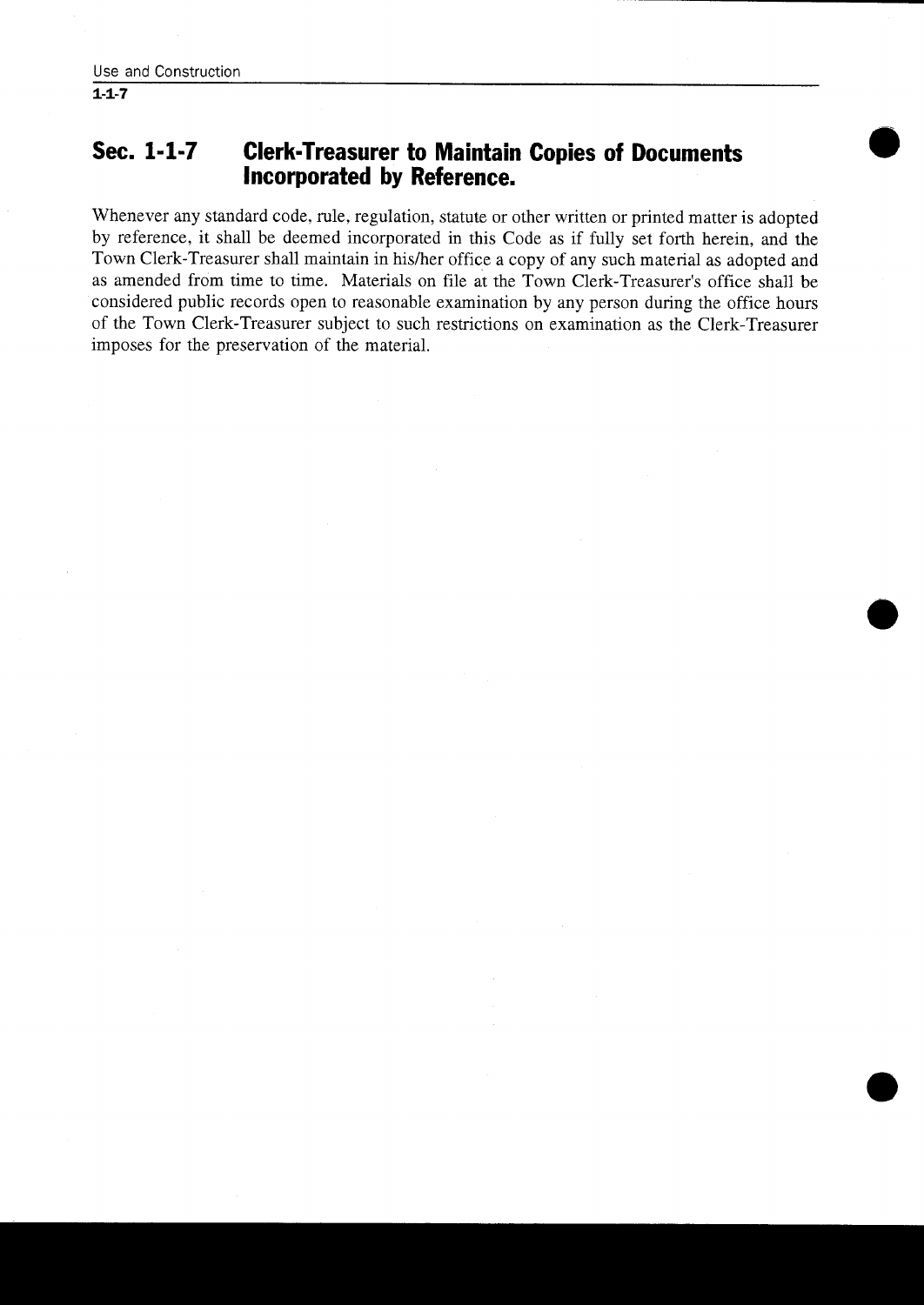#### Sec. 1-1-7 Clerk-Treasurer to Maintain Copies of Documents incorporated by Reference

Whenever any standard code, rule, regulation, statute or other written or printed matter is adopted by reference, it shall be deemed incorporated in this Code as if fully set forth herein, and the by reference, it shall be deemed incorporated in this Code as if fully set forth herein, and the Town Clerk-Treasurer shall maintain in his/her office a copy of any such material as adopted and **Sec. 1-1-7 Clerk-Treasurer to Maintain Copies of Documents**<br>**Incorporated by Reference.**<br>Whenever any standard code, rule, regulation, statute or other written or printed matter is adopted<br>by reference, it shall be deemed considered public records open to reasonable examination by any person during the office hours of the Town Clerk Treasurer subject to such restrictions on examination as the Clerk Treasurer imposes for the preservation of the materiaL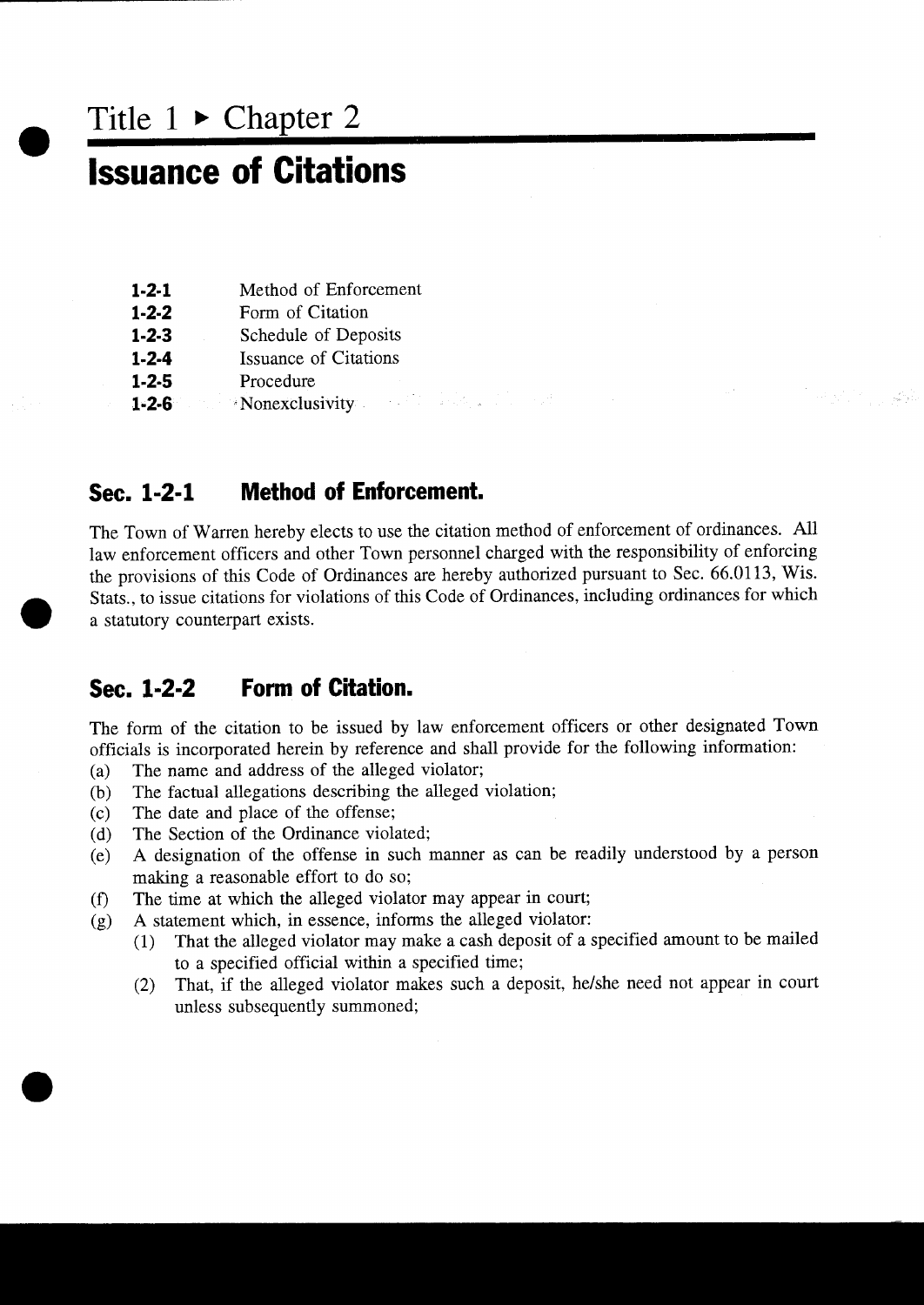Title  $1 \triangleright$  Chapter 2

## **Issuance of Citations**

| $1-2-1$ | Method of Enforcement            |
|---------|----------------------------------|
| 1 7 7   | $\Gamma_{\alpha mn}$ of Citation |

- 1-2-2 Form of Citation<br>1-2-3 Schedule of Dep
- 1-2-1 Method of Enforcement<br>1-2-2 Form of Citation<br>1-2-3 Schedule of Deposits 1-2-2 Form of Citation<br>1-2-3 Schedule of Deposit:<br>1-2-4 Issuance of Citations
- **1-2-4** Issuance of Cit<br> **1-2-5** Procedure<br> **1-2-6** Monexclusivity
- **1-2-3** Schedule<br>**1-2-4** Issuance of<br>**1-2-5** Procedure
- 

#### Sec. 1-2-1 Method of Enforcement.

The Town of Warren hereby elects to use the citation method of enforcement of ordinances All law enforcement officers and other Town personnel charged with the responsibility of enforcing the provisions of this Code of Ordinances are hereby authorized pursuant to Sec. 66.0113, Wis. Stats., to issue citations for violations of this Code of Ordinances, including ordinances for which <sup>a</sup> statutory counterpart exists

 $\label{eq:4} \begin{split} \mathcal{L}^{(1)}_{\mathcal{L}}\left(\mathcal{L}^{(1)}_{\mathcal{L}}\right) & = \mathcal{L}^{(1)}_{\mathcal{L}}\left(\mathcal{L}^{(1)}_{\mathcal{L}}\right) \mathcal{L}^{(1)}_{\mathcal{L}}\left(\mathcal{L}^{(1)}_{\mathcal{L}}\right) \mathcal{L}^{(1)}_{\mathcal{L}}\left(\mathcal{L}^{(1)}_{\mathcal{L}}\right) & = \mathcal{L}^{(1)}_{\mathcal{L}}\left(\mathcal{L}^{(1)}_{\mathcal{L}}\right) \mathcal{L}^{(1$ 

#### Sec. 1-2-2 Form of Citation.

The form of the citation to be issued by law enforcement officers or other designated Town officials is incorporated herein by reference and shall provide for the following information:

- (a) The name and address of the alleged violator;<br>(b) The factual allegations describing the alleged
- (b) The factual allegations describing the alleged violation;<br>(c) The date and place of the offense;
- (c) The date and place of the offense;<br>(d) The Section of the Ordinance viola
- (d) The Section of the Ordinance violated;<br>(e) A designation of the offense in such 1
- A designation of the offense in such manner as can be readily understood by a person making a reasonable effort to do so;
- $f(x)$ <br>(g) The time at which the alleged violator may appear in court;
- - A statement which, in essence, informs the alleged violator:<br>(1) That the alleged violator may make a cash deposit of a 1 That the alleged violator may make <sup>a</sup> cash deposit of <sup>a</sup> specified amount to be mailed to <sup>a</sup> specified official within <sup>a</sup> specified time
	- (2) That, if the alleged violator makes such a deposit, he/she need not appear in court unless subsequently summoned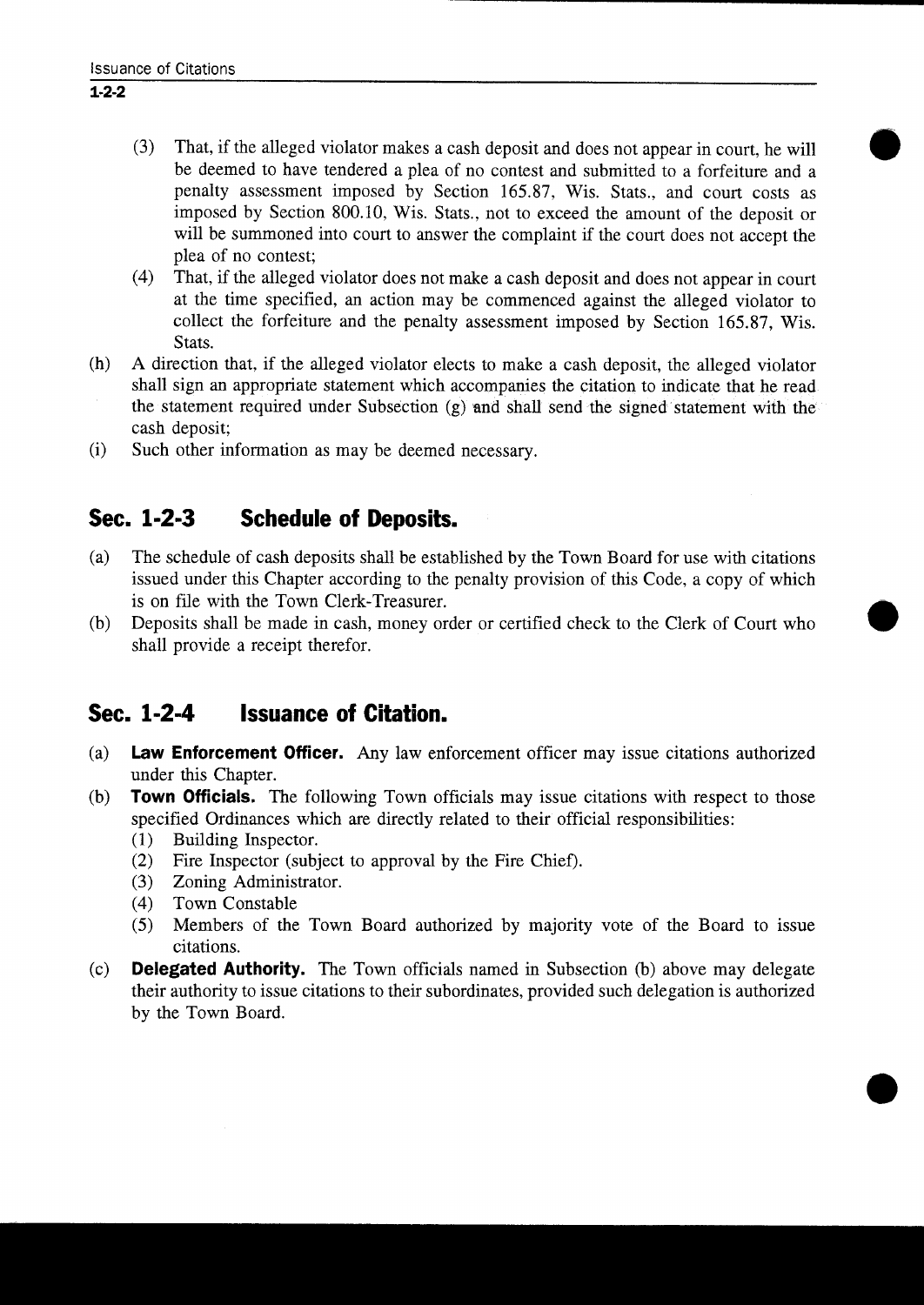- (3) That, if the alleged violator makes a cash deposit and does not appear in court, he will be deemed to have tendered a plea of no contest and submitted to a forfeiture and a penalty assessment imposed by Section 165.87, Wis. Stats., and court costs as penalty assessment imposed by Section 165.87, Wis. Stats., and court costs as imposed by Section 800.10, Wis. Stats., not to exceed the amount of the deposit or will be summoned into court to answer the complaint if the court does not accept the plea of no contest
- (4) That, if the alleged violator does not make a cash deposit and does not appear in court at the time specified, an action may be commenced against the alleged violator to collect the forfeiture and the penalty assessment imposed by Section 165.87, Wis. Stats.
- $(h)$ A direction that, if the alleged violator elects to make a cash deposit, the alleged violator shall sign an appropriate statement which accompanies the citation to indicate that he read the statement required under Subsection  $(g)$  and shall send the signed statement with the cash deposit
- $(i)$ Such other information as may be deemed necessary.

### Sec. 1-2-3 Schedule of Deposits.

- (a) The schedule of cash deposits shall be established by the Town Board for use with citations issued under this Chapter according to the penalty provision of this Code, a copy of which<br>is on file with the Town Clerk-Treasurer. is on file with the Town Clerk-Treasurer.<br>
(b) Deposits shall be made in cash, money order or certified check to the Clerk of Court who
- shall provide a receipt therefor

#### Sec. 1-2-4 Issuance of Citation.

- (a) Law Enforcement Officer. Any law enforcement officer may issue citations authorized under this Chapter
- (b) **Town Officials.** The following Town officials may issue citations with respect to those specified Ordinances which are directly related to their official responsibilities
	- (1) Building Inspector.<br>(2) Fire Inspector (subj
	- (2) Fire Inspector (subject to approval by the Fire Chief).<br>  $(3)$  Zoning Administrator.
	- (3) Zoning Administrator.<br>(4) Town Constable
	-
	- (4) Town Constable<br>(5) Members of the 5 Members of the Town Board authorized by majority vote of the Board to issue citations
- (c) **Delegated Authority.** The Town officials named in Subsection (b) above may delegate their authority to issue citations to their subordinates provided such delegation is authorized by the Town Board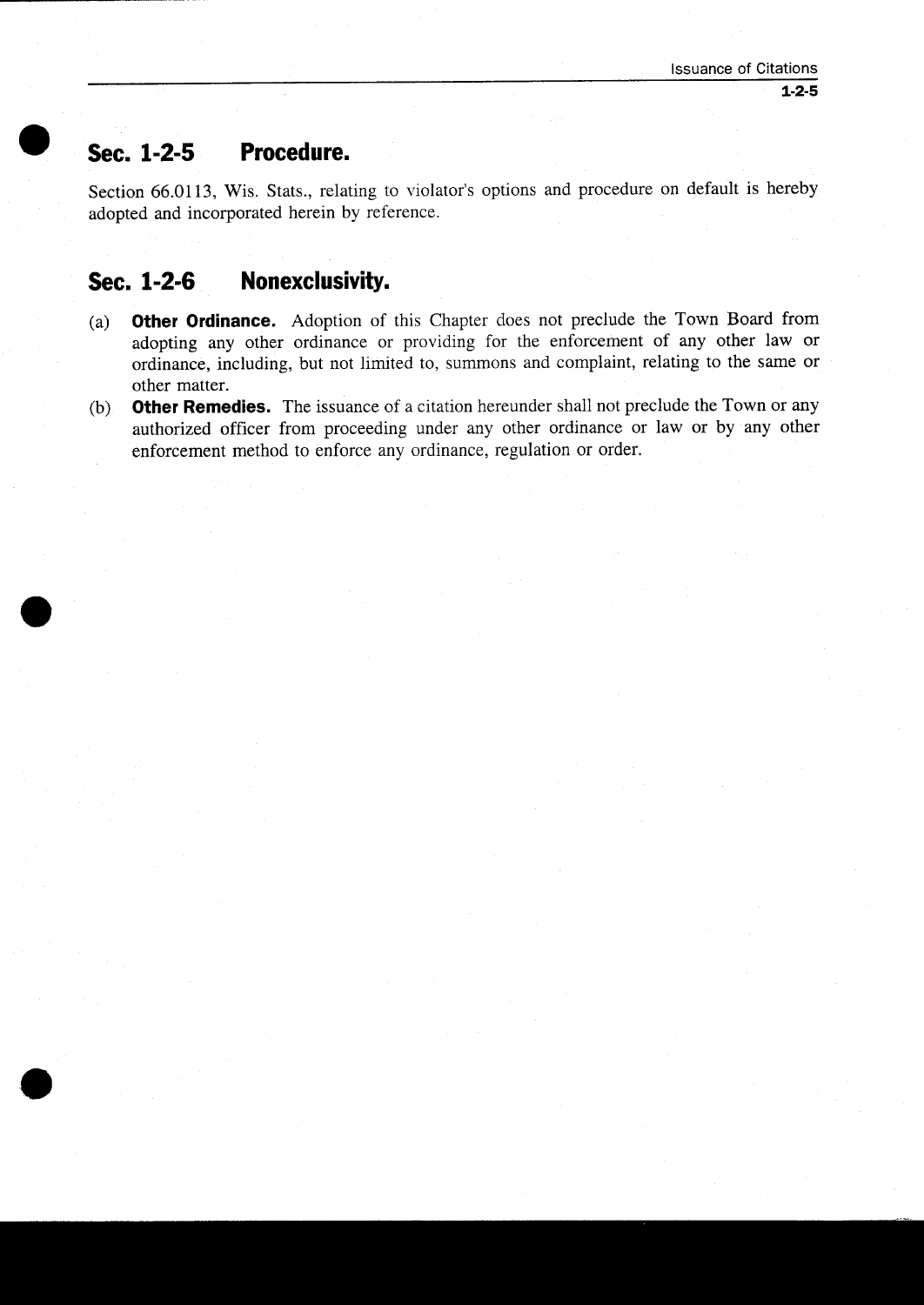Sec. 1-2-5 Procedure.<br>Section 66.0113, Wis. Stats., rela Sec. 1-2-5 Procedure.<br>Section 66.0113, Wis. Stats., relating to violator's adopted and incorporated herein by reference. options and procedure on default is hereby adopted and incorporated herein by reference

 $\bullet$ 

LJ

- Sec. 1-2-5 Procedure.<br>Section 66.0113, Wis. Stats., relating adopted and incorporated herein by ref<br>Sec. 1-2-6 Monexclusivity.<br>(a) Other Ordinance. Adoption of adopting any other ordinance of (a) **Other Ordinance.** Adoption of this Chapter does not preclude the Town Board from adopting any other ordinance or providing for the enforcement of any other law or ordinance, including, but not limited to, summons and complaint, relating to the same or other matter.
- (b) **Other Remedies.** The issuance of a citation hereunder shall not preclude the Town or any authorized officer from proceeding under any other ordinance or law or by any other enforcement method to enforce any ordinance, regulation or order.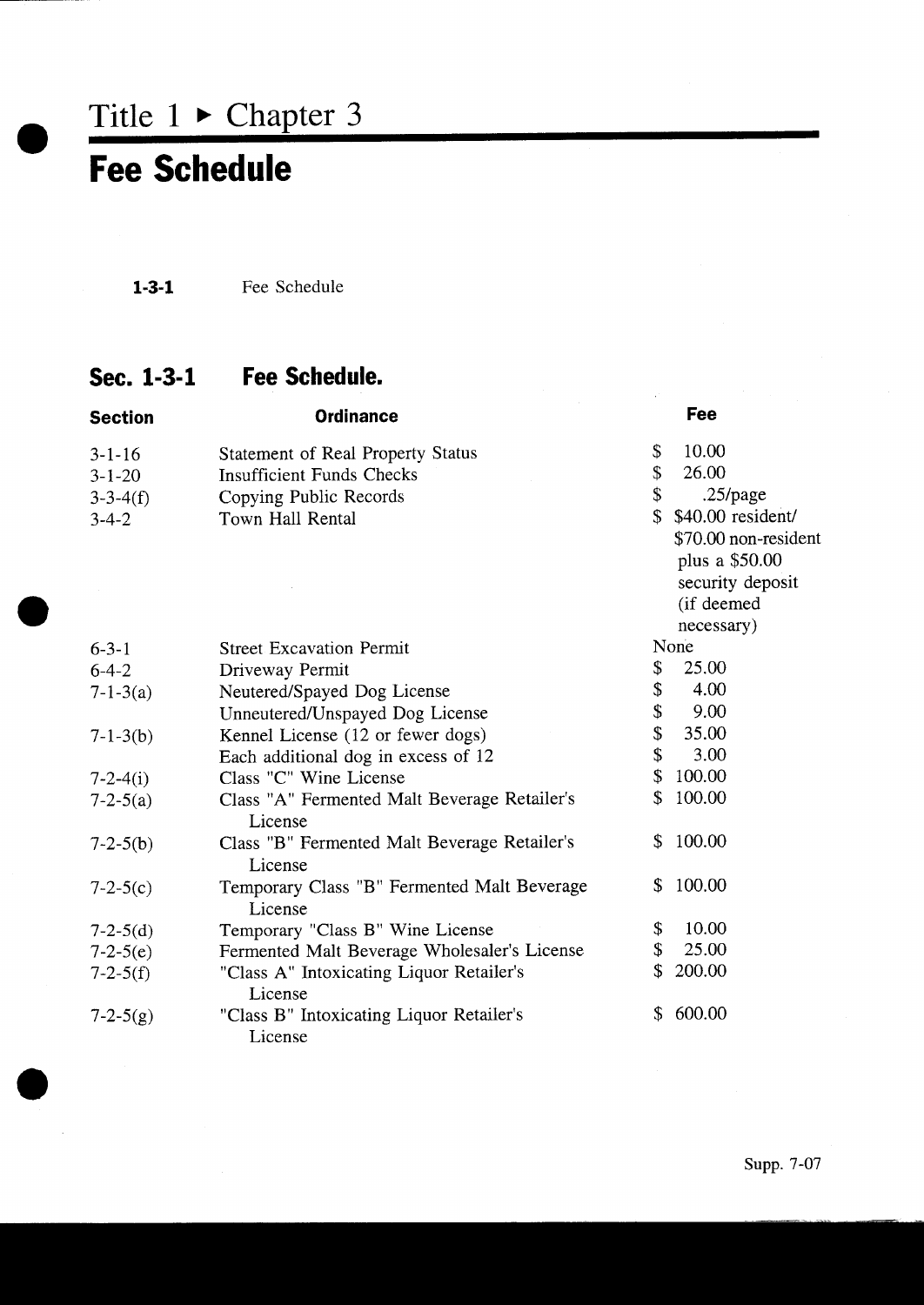Title  $1 \triangleright$  Chapter 3

## Fee Schedule

1-3-1 Fee Schedule

### Sec. 1-3-1 Fee Schedule.

| <b>Section</b> | <b>Ordinance</b>                             |                           | Fee                  |
|----------------|----------------------------------------------|---------------------------|----------------------|
| $3 - 1 - 16$   | <b>Statement of Real Property Status</b>     | \$                        | 10.00                |
| $3 - 1 - 20$   | <b>Insufficient Funds Checks</b>             | \$                        | 26.00                |
| $3 - 3 - 4(f)$ | Copying Public Records                       | \$                        | $.25$ /page          |
| $3 - 4 - 2$    | Town Hall Rental                             | $\mathcal{S}$             | \$40.00 resident/    |
|                |                                              |                           | \$70.00 non-resident |
|                |                                              |                           | plus a \$50.00       |
|                |                                              |                           | security deposit     |
|                |                                              |                           | (if deemed           |
|                |                                              |                           | necessary)           |
| $6 - 3 - 1$    | <b>Street Excavation Permit</b>              |                           | None                 |
| $6-4-2$        | Driveway Permit                              | \$                        | 25.00                |
| $7 - 1 - 3(a)$ | Neutered/Spayed Dog License                  | \$                        | 4.00                 |
|                | Unneutered/Unspayed Dog License              | \$                        | 9.00                 |
| $7 - 1 - 3(b)$ | Kennel License (12 or fewer dogs)            | $\boldsymbol{\mathsf{S}}$ | 35.00                |
|                | Each additional dog in excess of 12          | \$                        | 3.00                 |
| $7 - 2 - 4(i)$ | Class "C" Wine License                       | $\mathcal{L}$             | 100.00               |
| $7 - 2 - 5(a)$ | Class "A" Fermented Malt Beverage Retailer's | \$                        | 100.00               |
|                | License                                      |                           |                      |
| $7 - 2 - 5(b)$ | Class "B" Fermented Malt Beverage Retailer's | S.                        | 100.00               |
|                | License                                      |                           |                      |
| $7 - 2 - 5(c)$ | Temporary Class "B" Fermented Malt Beverage  | \$                        | 100.00               |
|                | License                                      |                           |                      |
| $7 - 2 - 5(d)$ | Temporary "Class B" Wine License             | \$                        | 10.00                |
| $7 - 2 - 5(e)$ | Fermented Malt Beverage Wholesaler's License | \$                        | 25.00                |
| $7 - 2 - 5(f)$ | "Class A" Intoxicating Liquor Retailer's     | \$                        | 200.00               |
|                | License                                      |                           |                      |
| $7 - 2 - 5(g)$ | "Class B" Intoxicating Liquor Retailer's     | \$                        | 600.00               |
|                | License                                      |                           |                      |